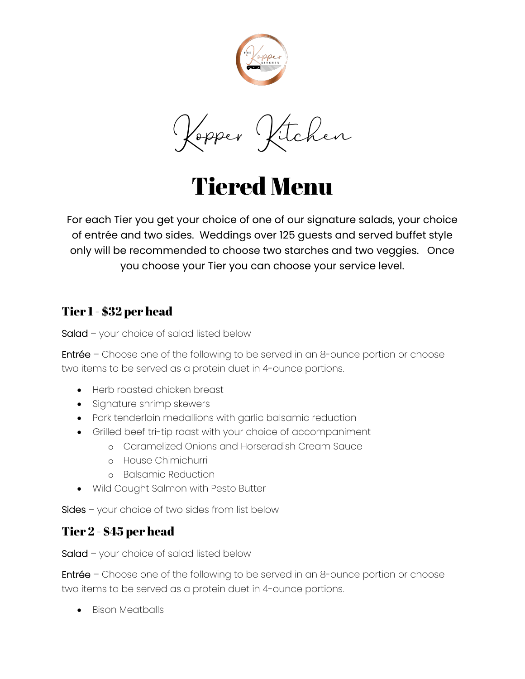

Kopper Kitchen

Tiered Menu

For each Tier you get your choice of one of our signature salads, your choice of entrée and two sides. Weddings over 125 guests and served buffet style only will be recommended to choose two starches and two veggies. Once you choose your Tier you can choose your service level.

#### Tier 1 - \$32 per head

Salad – your choice of salad listed below

Entrée – Choose one of the following to be served in an 8-ounce portion or choose two items to be served as a protein duet in 4-ounce portions.

- Herb roasted chicken breast
- Signature shrimp skewers
- Pork tenderloin medallions with garlic balsamic reduction
- Grilled beef tri-tip roast with your choice of accompaniment
	- o Caramelized Onions and Horseradish Cream Sauce
	- o House Chimichurri
	- o Balsamic Reduction
- Wild Caught Salmon with Pesto Butter

Sides – your choice of two sides from list below

### Tier 2 - \$45 per head

Salad – your choice of salad listed below

Entrée – Choose one of the following to be served in an 8-ounce portion or choose two items to be served as a protein duet in 4-ounce portions.

• Bison Meatballs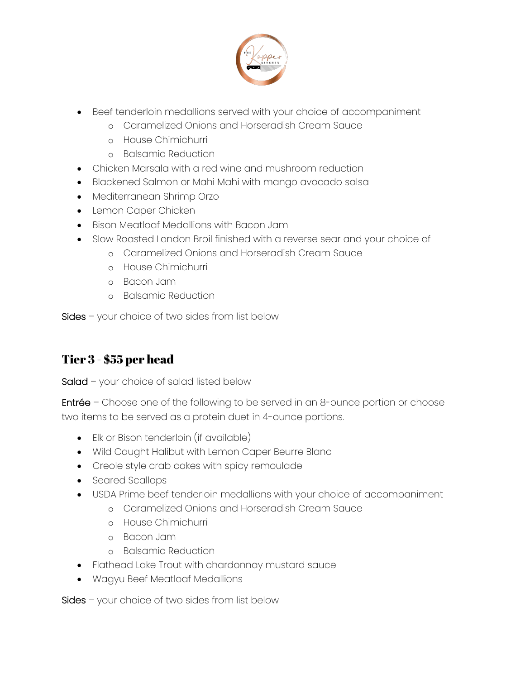

- Beef tenderloin medallions served with your choice of accompaniment
	- o Caramelized Onions and Horseradish Cream Sauce
	- o House Chimichurri
	- o Balsamic Reduction
- Chicken Marsala with a red wine and mushroom reduction
- Blackened Salmon or Mahi Mahi with mango avocado salsa
- Mediterranean Shrimp Orzo
- Lemon Caper Chicken
- Bison Meatloaf Medallions with Bacon Jam
- Slow Roasted London Broil finished with a reverse sear and your choice of
	- o Caramelized Onions and Horseradish Cream Sauce
	- o House Chimichurri
	- o Bacon Jam
	- o Balsamic Reduction

Sides – your choice of two sides from list below

# Tier 3 - \$55 per head

Salad – your choice of salad listed below

Entrée – Choose one of the following to be served in an 8-ounce portion or choose two items to be served as a protein duet in 4-ounce portions.

- Elk or Bison tenderloin (if available)
- Wild Caught Halibut with Lemon Caper Beurre Blanc
- Creole style crab cakes with spicy remoulade
- Seared Scallops
- USDA Prime beef tenderloin medallions with your choice of accompaniment
	- o Caramelized Onions and Horseradish Cream Sauce
	- o House Chimichurri
	- o Bacon Jam
	- o Balsamic Reduction
- Flathead Lake Trout with chardonnay mustard sauce
- Wagyu Beef Meatloaf Medallions

Sides – your choice of two sides from list below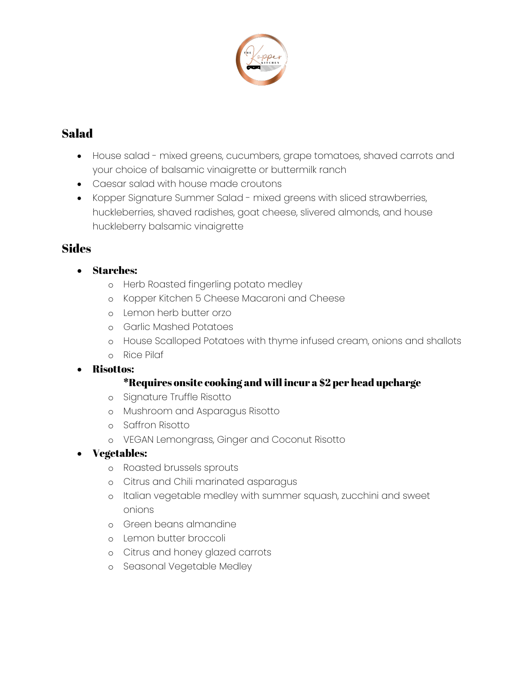

# Salad

- House salad mixed greens, cucumbers, grape tomatoes, shaved carrots and your choice of balsamic vinaigrette or buttermilk ranch
- Caesar salad with house made croutons
- Kopper Signature Summer Salad mixed greens with sliced strawberries, huckleberries, shaved radishes, goat cheese, slivered almonds, and house huckleberry balsamic vinaigrette

### **Sides**

- Starches:
	- o Herb Roasted fingerling potato medley
	- o Kopper Kitchen 5 Cheese Macaroni and Cheese
	- o Lemon herb butter orzo
	- o Garlic Mashed Potatoes
	- o House Scalloped Potatoes with thyme infused cream, onions and shallots
	- o Rice Pilaf

#### • Risottos:

#### \*Requires onsite cooking and will incur a \$2 per head upcharge

- o Signature Truffle Risotto
- o Mushroom and Asparagus Risotto
- o Saffron Risotto
- o VEGAN Lemongrass, Ginger and Coconut Risotto
- Vegetables:
	- o Roasted brussels sprouts
	- o Citrus and Chili marinated asparagus
	- o Italian vegetable medley with summer squash, zucchini and sweet onions
	- o Green beans almandine
	- o Lemon butter broccoli
	- o Citrus and honey glazed carrots
	- o Seasonal Vegetable Medley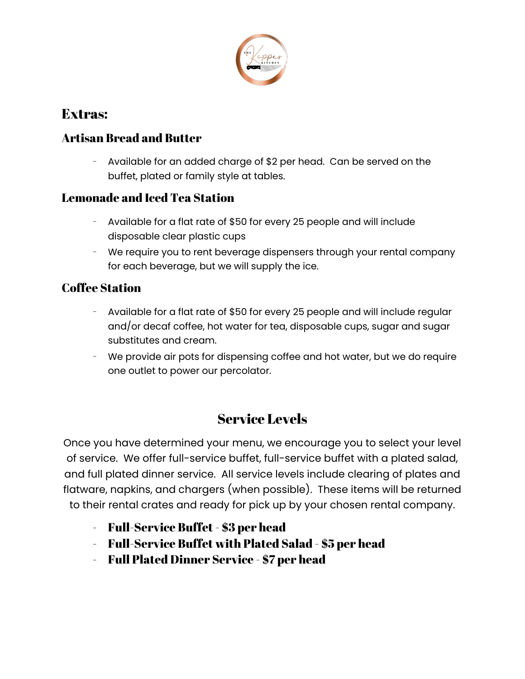

# Extras:

## Artisan Bread and Butter

Available for an added charge of \$2 per head. Can be served on the buffet, plated or family style at tables.

### Lemonade and Iced Tea Station

- Available for a flat rate of \$50 for every 25 people and will include disposable clear plastic cups
- We require you to rent beverage dispensers through your rental company for each beverage, but we will supply the ice.

### Coffee Station

- Available for a flat rate of \$50 for every 25 people and will include regular and/or decaf coffee, hot water for tea, disposable cups, sugar and sugar substitutes and cream.
- We provide air pots for dispensing coffee and hot water, but we do require one outlet to power our percolator.

# Service Levels

Once you have determined your menu, we encourage you to select your level of service. We offer full-service buffet, full-service buffet with a plated salad, and full plated dinner service. All service levels include clearing of plates and flatware, napkins, and chargers (when possible). These items will be returned to their rental crates and ready for pick up by your chosen rental company.

- Full-Service Buffet \$3 per head
- Full-Service Buffet with Plated Salad \$5 per head
- Full Plated Dinner Service \$7 per head